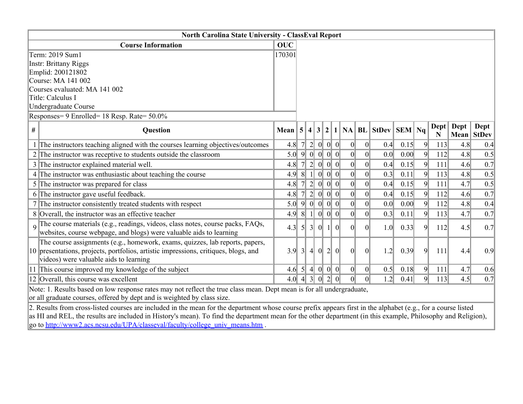|          | <b>North Carolina State University - ClassEval Report</b>                                                                                                                                                     |            |                 |                  |          |                |          |                 |                 |                 |                  |                |                     |      |                    |
|----------|---------------------------------------------------------------------------------------------------------------------------------------------------------------------------------------------------------------|------------|-----------------|------------------|----------|----------------|----------|-----------------|-----------------|-----------------|------------------|----------------|---------------------|------|--------------------|
|          | <b>Course Information</b>                                                                                                                                                                                     | <b>OUC</b> |                 |                  |          |                |          |                 |                 |                 |                  |                |                     |      |                    |
|          | Term: 2019 Sum1                                                                                                                                                                                               | 170301     |                 |                  |          |                |          |                 |                 |                 |                  |                |                     |      |                    |
|          | <b>Instr: Brittany Riggs</b>                                                                                                                                                                                  |            |                 |                  |          |                |          |                 |                 |                 |                  |                |                     |      |                    |
|          | Emplid: 200121802                                                                                                                                                                                             |            |                 |                  |          |                |          |                 |                 |                 |                  |                |                     |      |                    |
|          | Course: MA 141 002                                                                                                                                                                                            |            |                 |                  |          |                |          |                 |                 |                 |                  |                |                     |      |                    |
|          | Courses evaluated: MA 141 002                                                                                                                                                                                 |            |                 |                  |          |                |          |                 |                 |                 |                  |                |                     |      |                    |
|          | Title: Calculus I                                                                                                                                                                                             |            |                 |                  |          |                |          |                 |                 |                 |                  |                |                     |      |                    |
|          | Undergraduate Course                                                                                                                                                                                          |            |                 |                  |          |                |          |                 |                 |                 |                  |                |                     |      |                    |
|          | Responses= 9 Enrolled= 18 Resp. Rate= 50.0%                                                                                                                                                                   |            |                 |                  |          |                |          |                 |                 |                 |                  |                |                     |      |                    |
| #        | Question                                                                                                                                                                                                      | Mean $ 5 $ |                 |                  | 4 3      |                | 2 1      |                 |                 | $NA$ $BL$ StDev | $\ $ SEM $\ $ Nq |                | $\text{Depth}$<br>N | Dept | Dept<br>Mean StDev |
|          | 1 The instructors teaching aligned with the courses learning objectives/outcomes                                                                                                                              | 4.8        |                 | $2\vert$         | 0        |                | $ 0 $ 0  | 0               | 0               | 0.4             | 0.15             | $\overline{9}$ | 113                 | 4.8  | 0.4                |
|          | $2$ The instructor was receptive to students outside the classroom                                                                                                                                            | 5.0        | 9               | 0                | 0        |                | $ 0 $ 0  | 0               | 0               | 0.0             | 0.00             | $\overline{9}$ | 112                 | 4.8  | 0.5                |
|          | 3 The instructor explained material well.                                                                                                                                                                     | 4.8        |                 |                  |          | 0              | $\Omega$ | 0               | 0               | 0.4             | 0.15             | 9              | 111                 | 4.6  | 0.7                |
|          | 4 The instructor was enthusiastic about teaching the course                                                                                                                                                   | 4.9        | $\vert 8 \vert$ |                  |          | 0              | $\theta$ | $\vert 0 \vert$ | 0               | 0.3             | 0.11             | 9              | 113                 | 4.8  | 0.5                |
|          | 5 The instructor was prepared for class                                                                                                                                                                       | 4.8        |                 | $2\vert$         | 0        |                | $ 0 $ 0  | 0               | 0               | 0.4             | 0.15             | $\overline{9}$ | 111                 | 4.7  | 0.5                |
|          | 6 The instructor gave useful feedback.                                                                                                                                                                        | 4.8        |                 | $2\vert$         | 0        |                | $ 0 $ 0  | 0               | 0               | 0.4             | 0.15             | $\overline{9}$ | 112                 | 4.6  | 0.7                |
|          | 7 The instructor consistently treated students with respect                                                                                                                                                   | 5.0        | 9               | 0                | 0        |                | $ 0 $ 0  | 0               | 0               | 0.0             | 0.00             | $\overline{9}$ | 112                 | 4.8  | 0.4                |
|          | 8 Overall, the instructor was an effective teacher                                                                                                                                                            | 4.9        | 8               |                  | $\Omega$ |                | $ 0 $ 0  | 0               | $\vert 0 \vert$ | 0.3             | 0.11             | 9              | 113                 | 4.7  | 0.7                |
| $\Omega$ | The course materials (e.g., readings, videos, class notes, course packs, FAQs,<br>websites, course webpage, and blogs) were valuable aids to learning                                                         | 4.3        | $\mathfrak{H}$  | 3 <sup>l</sup>   | 0        | 1 <sup>1</sup> | $\vert$  | $\Omega$        | $\vert$ 0       | 1.0             | 0.33             | 9              | 112                 | 4.5  | 0.7                |
|          | The course assignments (e.g., homework, exams, quizzes, lab reports, papers,<br>10 presentations, projects, portfolios, artistic impressions, critiques, blogs, and<br>videos) were valuable aids to learning | 3.9        | $3\vert$        | $\left 4\right $ | 0        | $2\vert$       | 0        | $\vert$         | $\vert 0 \vert$ | 1.2             | 0.39             | $\overline{9}$ | 111                 | 4.4  | 0.9                |
|          | 11 This course improved my knowledge of the subject                                                                                                                                                           | 4.6        | $\vert 5 \vert$ | $\left 4\right $ | 0        |                | $ 0 $ 0  | 0               | 0               | 0.5             | 0.18             | $\overline{9}$ | 111                 | 4.7  | 0.6                |
|          | 12 Overall, this course was excellent                                                                                                                                                                         | 4.0        | $\overline{4}$  | $\overline{3}$   | $\Omega$ | 2 <sup>1</sup> | $\Omega$ | $\Omega$        | $\Omega$        | 1.2             | 0.41             | 9              | 113                 | 4.5  | 0.7                |
|          | Note: 1. Results based on low response rates may not reflect the true class mean. Dept mean is for all undergraduate,                                                                                         |            |                 |                  |          |                |          |                 |                 |                 |                  |                |                     |      |                    |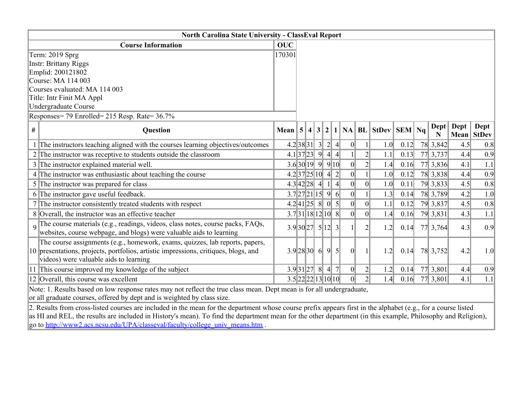|          | <b>North Carolina State University - ClassEval Report</b>                                                                                                                                                     |                      |  |  |  |   |                  |                 |                 |                              |      |  |                     |          |                    |
|----------|---------------------------------------------------------------------------------------------------------------------------------------------------------------------------------------------------------------|----------------------|--|--|--|---|------------------|-----------------|-----------------|------------------------------|------|--|---------------------|----------|--------------------|
|          | <b>Course Information</b>                                                                                                                                                                                     | <b>OUC</b>           |  |  |  |   |                  |                 |                 |                              |      |  |                     |          |                    |
|          | Term: 2019 Sprg                                                                                                                                                                                               | 170301               |  |  |  |   |                  |                 |                 |                              |      |  |                     |          |                    |
|          | <b>Instr: Brittany Riggs</b>                                                                                                                                                                                  |                      |  |  |  |   |                  |                 |                 |                              |      |  |                     |          |                    |
|          | Emplid: 200121802                                                                                                                                                                                             |                      |  |  |  |   |                  |                 |                 |                              |      |  |                     |          |                    |
|          | Course: MA 114 003                                                                                                                                                                                            |                      |  |  |  |   |                  |                 |                 |                              |      |  |                     |          |                    |
|          | Courses evaluated: MA 114 003                                                                                                                                                                                 |                      |  |  |  |   |                  |                 |                 |                              |      |  |                     |          |                    |
|          | Title: Intr Finit MA Appl                                                                                                                                                                                     |                      |  |  |  |   |                  |                 |                 |                              |      |  |                     |          |                    |
|          | Undergraduate Course                                                                                                                                                                                          |                      |  |  |  |   |                  |                 |                 |                              |      |  |                     |          |                    |
|          | Responses= 79 Enrolled= 215 Resp. Rate= 36.7%                                                                                                                                                                 |                      |  |  |  |   |                  |                 |                 |                              |      |  |                     |          |                    |
| #        | Question                                                                                                                                                                                                      | Mean $ 5 $           |  |  |  |   |                  |                 |                 | $4 3 2 1 NA BL StDev SEM Na$ |      |  | $\text{Depth}$<br>N | Dept $ $ | Dept<br>Mean StDev |
|          | 1 The instructors teaching aligned with the courses learning objectives/outcomes                                                                                                                              | 4.2 38 31 32 4       |  |  |  |   |                  | 0               | $1\vert$        | 1.0                          | 0.12 |  | 78 3,842            | 4.5      | 0.8                |
|          | $2$ The instructor was receptive to students outside the classroom                                                                                                                                            | 4.1 37 23 9          |  |  |  |   | 4 4              |                 |                 | 1.1                          | 0.13 |  | 77 3,737            | 4.4      | 0.9                |
|          | 3 The instructor explained material well.                                                                                                                                                                     | 3.6 30 19 99 10      |  |  |  |   |                  | 0               | $\overline{2}$  | 1.4                          | 0.16 |  | 77 3,836            | 4.1      | 1.1                |
|          | 4 The instructor was enthusiastic about teaching the course                                                                                                                                                   | 4.2 37 25 10 4 2     |  |  |  |   |                  | $\vert 0 \vert$ |                 | 1.0                          | 0.12 |  | 78 3,838            | 4.4      | 0.9                |
|          | 5 The instructor was prepared for class                                                                                                                                                                       | 4.3 42 28 4          |  |  |  | 1 | $\left 4\right $ | 0               | 0               | 1.0                          | 0.11 |  | 79 3,833            | 4.5      | 0.8                |
|          | 6 The instructor gave useful feedback.                                                                                                                                                                        | 3.7 27 21 15 96      |  |  |  |   |                  | 0               |                 | 1.3                          | 0.14 |  | 78 3,789            | 4.2      | 1.0                |
|          | 7 The instructor consistently treated students with respect                                                                                                                                                   | 4.2 41 25 8 05       |  |  |  |   |                  | 0               | 0               | 1.1                          | 0.12 |  | 79 3,837            | 4.5      | 0.8                |
|          | 8 Overall, the instructor was an effective teacher                                                                                                                                                            | 3.7 31 18 12 10 8    |  |  |  |   |                  | $\vert 0 \vert$ | $\vert 0 \vert$ | 1.4                          | 0.16 |  | 79 3,831            | 4.3      | 1.1                |
| $\Omega$ | The course materials (e.g., readings, videos, class notes, course packs, FAQs,<br>websites, course webpage, and blogs) were valuable aids to learning                                                         | $3.9 30 27$ $5 12$ 3 |  |  |  |   |                  |                 | $\overline{2}$  | 1.2                          | 0.14 |  | 77 3,764            | 4.3      | 0.9                |
|          | The course assignments (e.g., homework, exams, quizzes, lab reports, papers,<br>10 presentations, projects, portfolios, artistic impressions, critiques, blogs, and<br>videos) were valuable aids to learning | $3.9$ 28 30 6 9 5    |  |  |  |   |                  | 0               |                 | 1.2                          | 0.14 |  | 78 3,752            | 4.2      | 1.0                |
|          | 11 This course improved my knowledge of the subject                                                                                                                                                           | 3.9 31 27 8          |  |  |  |   | 4 7              | 0               | $\overline{2}$  | 1.2                          | 0.14 |  | 77 3,801            | 4.4      | 0.9                |
|          | 12 Overall, this course was excellent                                                                                                                                                                         | 3.5 22 22 13 10 10   |  |  |  |   |                  | $\overline{0}$  | $\overline{2}$  | 1.4                          | 0.16 |  | 77 3,801            | 4.1      | 1.1                |
|          | Note: 1. Results based on low response rates may not reflect the true class mean. Dept mean is for all undergraduate,                                                                                         |                      |  |  |  |   |                  |                 |                 |                              |      |  |                     |          |                    |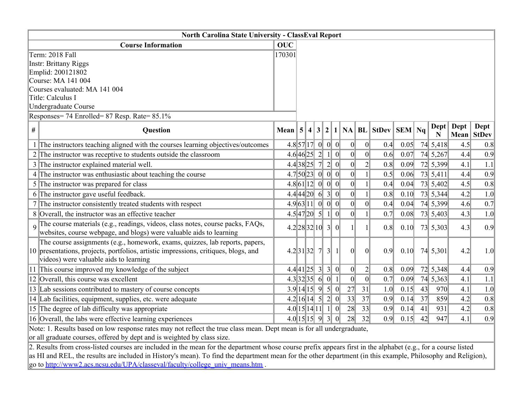| North Carolina State University - ClassEval Report                                                                                                                                                            |            |             |  |  |                         |          |                 |                                               |      |    |             |                |            |
|---------------------------------------------------------------------------------------------------------------------------------------------------------------------------------------------------------------|------------|-------------|--|--|-------------------------|----------|-----------------|-----------------------------------------------|------|----|-------------|----------------|------------|
| <b>Course Information</b>                                                                                                                                                                                     | <b>OUC</b> |             |  |  |                         |          |                 |                                               |      |    |             |                |            |
| Term: 2018 Fall                                                                                                                                                                                               | 170301     |             |  |  |                         |          |                 |                                               |      |    |             |                |            |
| <b>Instr: Brittany Riggs</b>                                                                                                                                                                                  |            |             |  |  |                         |          |                 |                                               |      |    |             |                |            |
| Emplid: 200121802                                                                                                                                                                                             |            |             |  |  |                         |          |                 |                                               |      |    |             |                |            |
| Course: MA 141 004                                                                                                                                                                                            |            |             |  |  |                         |          |                 |                                               |      |    |             |                |            |
| Courses evaluated: MA 141 004                                                                                                                                                                                 |            |             |  |  |                         |          |                 |                                               |      |    |             |                |            |
| Title: Calculus I<br>Undergraduate Course                                                                                                                                                                     |            |             |  |  |                         |          |                 |                                               |      |    |             |                |            |
| Responses= 74 Enrolled= 87 Resp. Rate= 85.1%                                                                                                                                                                  |            |             |  |  |                         |          |                 |                                               |      |    |             |                |            |
|                                                                                                                                                                                                               |            |             |  |  |                         |          |                 |                                               |      |    |             |                | Dept       |
| $\#$<br>Question                                                                                                                                                                                              |            |             |  |  |                         |          |                 | Mean $ 5 4 3 2 1 $ NA   BL   StDev   SEM   Nq |      |    | Dept  <br>N | $\text{Depth}$ | Mean StDev |
| 1 The instructors teaching aligned with the courses learning objectives/outcomes                                                                                                                              |            |             |  |  | $4.8$ 57 17 0 0 0       | 0        | 0               | 0.4                                           | 0.05 |    | 74 5,418    | 4.5            | 0.8        |
| 2 The instructor was receptive to students outside the classroom                                                                                                                                              |            | 4.6 46 25 2 |  |  | 0 <br>$\left  \right $  | 0        | 0               | 0.6                                           | 0.07 |    | 74 5,267    | 4.4            | 0.9        |
| 3 The instructor explained material well.                                                                                                                                                                     |            |             |  |  | 4.4 38 25 7 2 0         | 0        | $\overline{2}$  | 0.8                                           | 0.09 |    | 72 5,399    | 4.1            | 1.1        |
| 4 The instructor was enthusiastic about teaching the course                                                                                                                                                   |            |             |  |  | 4.7 50 23 0 0 0         | 0        |                 | 0.5                                           | 0.06 |    | 73 5,411    | 4.4            | 0.9        |
| 5 The instructor was prepared for class                                                                                                                                                                       |            |             |  |  | 4.8 61 12 0 00          | 0        |                 | 0.4                                           | 0.04 |    | 73 5,402    | 4.5            | 0.8        |
| 6 The instructor gave useful feedback.                                                                                                                                                                        |            |             |  |  | 4.4 44 20 6 3 0         | 0        |                 | 0.8                                           | 0.10 |    | 73 5,344    | 4.2            | 1.0        |
| 7 The instructor consistently treated students with respect                                                                                                                                                   |            |             |  |  | 4.9 63 11 0 00          | 0        | 0               | 0.4                                           | 0.04 |    | 74 5,399    | 4.6            | 0.7        |
| 8 Overall, the instructor was an effective teacher                                                                                                                                                            |            |             |  |  | $4.5$ $ 47 20$ $ 5 1 0$ | 0        |                 | 0.7                                           | 0.08 |    | 73 5,403    | 4.3            | 1.0        |
| The course materials (e.g., readings, videos, class notes, course packs, FAQs,<br>websites, course webpage, and blogs) were valuable aids to learning                                                         |            |             |  |  | $4.2$ 28 32 10 3 0      |          |                 | 0.8                                           | 0.10 |    | 73 5,303    | 4.3            | 0.9        |
| The course assignments (e.g., homework, exams, quizzes, lab reports, papers,<br>10 presentations, projects, portfolios, artistic impressions, critiques, blogs, and<br>videos) were valuable aids to learning |            | 4.2 31 32 7 |  |  | 3 1                     | $\Omega$ | $\vert$         | 0.9                                           | 0.10 |    | 74 5,301    | 4.2            | 1.0        |
| 11 This course improved my knowledge of the subject                                                                                                                                                           |            |             |  |  | 4.4 41 25 330           | 0        | $2\vert$        | 0.8                                           | 0.09 |    | 72 5,348    | 4.4            | 0.9        |
| 12 Overall, this course was excellent                                                                                                                                                                         |            |             |  |  | 4.3 32 35 6 0 1         | 0        | $\vert 0 \vert$ | 0.7                                           | 0.09 |    | 74 5,363    | 4.1            | 1.1        |
| 13 Lab sessions contributed to mastery of course concepts                                                                                                                                                     |            |             |  |  | 3.9 14 15 950           | 27       | 31              | 1.0                                           | 0.15 | 43 | 970         | 4.1            | 1.0        |
| 14 Lab facilities, equipment, supplies, etc. were adequate                                                                                                                                                    |            |             |  |  | $4.2 16 14$ 5 2 0       | 33       | 37              | 0.9                                           | 0.14 | 37 | 859         | 4.2            | 0.8        |
| 15 The degree of lab difficulty was appropriate                                                                                                                                                               |            |             |  |  | 4.0 15 14 11 10         | 28       | 33              | 0.9                                           | 0.14 | 41 | 931         | 4.2            | 0.8        |
| 16 Overall, the labs were effective learning experiences                                                                                                                                                      |            |             |  |  | 4.0 15 15 930           | 28       | 32              | 0.9                                           | 0.15 | 42 | 947         | 4.1            | 0.9        |
| Note: 1. Results based on low response rates may not reflect the true class mean. Dept mean is for all undergraduate,<br>$1 + 1 = 1$ 00 11 1 $1 + 1$ 11 11 1                                                  |            |             |  |  |                         |          |                 |                                               |      |    |             |                |            |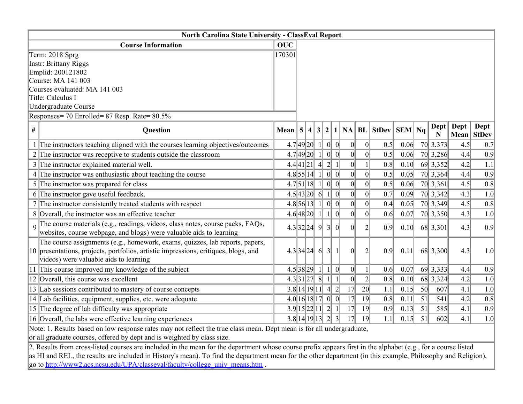| <b>North Carolina State University - ClassEval Report</b>                                                                                                                                                     |            |             |  |   |                            |          |                 |                                        |      |    |           |          |            |
|---------------------------------------------------------------------------------------------------------------------------------------------------------------------------------------------------------------|------------|-------------|--|---|----------------------------|----------|-----------------|----------------------------------------|------|----|-----------|----------|------------|
| <b>Course Information</b>                                                                                                                                                                                     | <b>OUC</b> |             |  |   |                            |          |                 |                                        |      |    |           |          |            |
| Term: 2018 Sprg                                                                                                                                                                                               | 170301     |             |  |   |                            |          |                 |                                        |      |    |           |          |            |
| <b>Instr: Brittany Riggs</b>                                                                                                                                                                                  |            |             |  |   |                            |          |                 |                                        |      |    |           |          |            |
| Emplid: 200121802                                                                                                                                                                                             |            |             |  |   |                            |          |                 |                                        |      |    |           |          |            |
| Course: MA 141 003                                                                                                                                                                                            |            |             |  |   |                            |          |                 |                                        |      |    |           |          |            |
| Courses evaluated: MA 141 003                                                                                                                                                                                 |            |             |  |   |                            |          |                 |                                        |      |    |           |          |            |
| Title: Calculus I<br><b>Undergraduate Course</b>                                                                                                                                                              |            |             |  |   |                            |          |                 |                                        |      |    |           |          |            |
| Responses= 70 Enrolled= 87 Resp. Rate= 80.5%                                                                                                                                                                  |            |             |  |   |                            |          |                 |                                        |      |    |           |          |            |
|                                                                                                                                                                                                               |            |             |  |   |                            |          |                 |                                        |      |    |           |          | Dept       |
| $\#$<br>Question                                                                                                                                                                                              | Mean $ 5 $ |             |  |   |                            |          |                 | $ 4 3 2 1 $ NA   BL   StDev   SEM   Nq |      |    | Dept<br>N | Dept $ $ | Mean StDev |
| 1 The instructors teaching aligned with the courses learning objectives/outcomes                                                                                                                              |            | 4.7 49 20   |  |   | $ 0 $ 0                    | 0        | 0               | 0.5                                    | 0.06 |    | 70 3,373  | 4.5      | 0.7        |
| 2 The instructor was receptive to students outside the classroom                                                                                                                                              |            | 4.7 49 20   |  |   | $ 0 $ 0                    | 0        | 0               | 0.5                                    | 0.06 |    | 70 3,286  | 4.4      | 0.9        |
| 3 The instructor explained material well.                                                                                                                                                                     |            | 4.4 41 21 4 |  |   | 2 1                        | 0        |                 | 0.8                                    | 0.10 |    | 69 3,352  | 4.2      | 1.1        |
| 4 The instructor was enthusiastic about teaching the course                                                                                                                                                   |            | $4.8$ 55 14 |  |   | $ 0 $ 0                    | 0        | 0               | 0.5                                    | 0.05 |    | 70 3,364  | 4.4      | 0.9        |
| 5 The instructor was prepared for class                                                                                                                                                                       |            | 4.7 51 18   |  | 1 | $ 0 $ 0                    | 0        | $\vert 0 \vert$ | 0.5                                    | 0.06 |    | 70 3,361  | 4.5      | 0.8        |
| 6 The instructor gave useful feedback.                                                                                                                                                                        |            | 4.5 43 20 6 |  |   | $1\vert$<br>$\overline{0}$ | 0        | 0               | 0.7                                    | 0.09 |    | 70 3,342  | 4.3      | 1.0        |
| 7 The instructor consistently treated students with respect                                                                                                                                                   |            | 4.8 56 13   |  | 1 | $ 0 $ 0                    | 0        | 0               | 0.4                                    | 0.05 |    | 70 3,349  | 4.5      | 0.8        |
| 8 Overall, the instructor was an effective teacher                                                                                                                                                            |            |             |  |   | 4.6 48 20 1110             | 0        | 0               | 0.6                                    | 0.07 |    | 70 3,350  | 4.3      | 1.0        |
| The course materials (e.g., readings, videos, class notes, course packs, FAQs,<br>websites, course webpage, and blogs) were valuable aids to learning                                                         |            | 4.3 32 24 9 |  |   | 3 0                        | $\Omega$ | $\overline{2}$  | 0.9                                    | 0.10 |    | 68 3,301  | 4.3      | 0.9        |
| The course assignments (e.g., homework, exams, quizzes, lab reports, papers,<br>10 presentations, projects, portfolios, artistic impressions, critiques, blogs, and<br>videos) were valuable aids to learning |            |             |  |   | 4.3 34 24 6 3 1            | $\Omega$ | $\overline{2}$  | 0.9                                    | 0.11 |    | 68 3,300  | 4.3      | 1.0        |
| 11 This course improved my knowledge of the subject                                                                                                                                                           |            | 4.5 38 29 1 |  |   | 0 <br>$\cdot$ 1            | 0        | 1 <sup>1</sup>  | 0.6                                    | 0.07 |    | 69 3,333  | 4.4      | 0.9        |
| 12 Overall, this course was excellent                                                                                                                                                                         |            |             |  |   | 4.3 31 27 8 11             | 0        | $\overline{2}$  | 0.8                                    | 0.10 |    | 68 3,324  | 4.2      | 1.0        |
| 13 Lab sessions contributed to mastery of course concepts                                                                                                                                                     |            |             |  |   | 3.8 14 19 11 4 2           | 17       | $\overline{20}$ | 1.1                                    | 0.15 | 50 | 607       | 4.1      | 1.0        |
| 14 Lab facilities, equipment, supplies, etc. were adequate                                                                                                                                                    |            |             |  |   | 4.0 16 18 17 00            | 17       | 19              | 0.8                                    | 0.11 | 51 | 541       | 4.2      | 0.8        |
| 15 The degree of lab difficulty was appropriate                                                                                                                                                               |            |             |  |   | $3.9$ 15 22 11 2 1         | 17       | 19              | 0.9                                    | 0.13 | 51 | 585       | 4.1      | 0.9        |
| 16 Overall, the labs were effective learning experiences                                                                                                                                                      |            |             |  |   | 3.8 14 19 13 2 3           | 17       | 19              | 1.1                                    | 0.15 | 51 | 602       | 4.1      | 1.0        |
| Note: 1. Results based on low response rates may not reflect the true class mean. Dept mean is for all undergraduate,<br>really one deeds a connect to afford the dans and is resistabled by close sine.      |            |             |  |   |                            |          |                 |                                        |      |    |           |          |            |